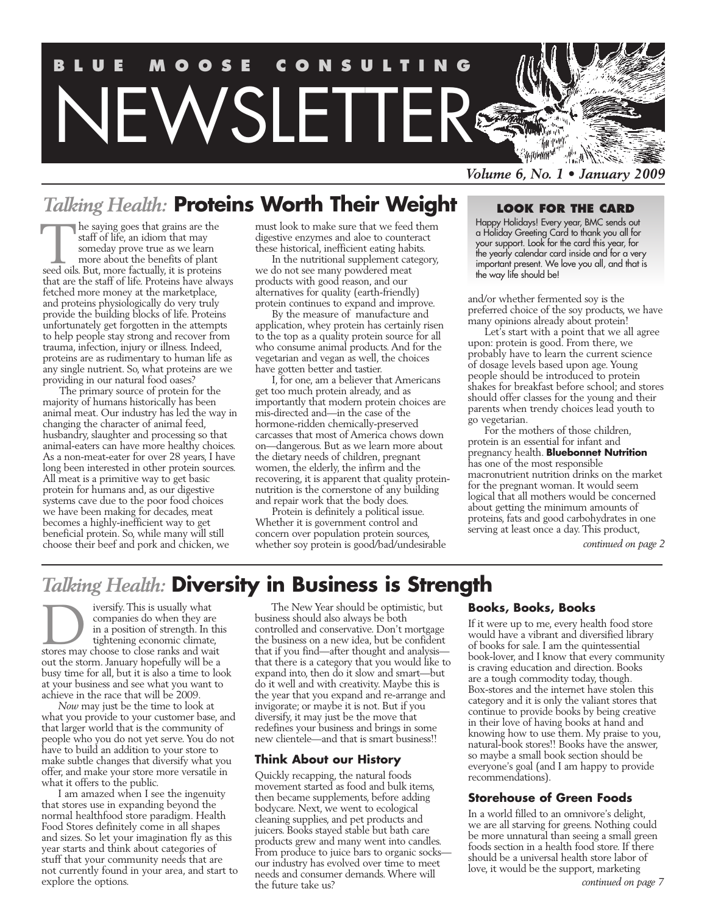

## *Talking Health:* **Proteins Worth Their Weight**

he saying goes that grains are the staff of life, an idiom that may someday prove true as we learn more about the benefits of plant he saying goes that grains are the<br>staff of life, an idiom that may<br>someday prove true as we learn<br>more about the benefits of plant<br>seed oils. But, more factually, it is proteins that are the staff of life. Proteins have always fetched more money at the marketplace, and proteins physiologically do very truly provide the building blocks of life. Proteins unfortunately get forgotten in the attempts to help people stay strong and recover from trauma, infection, injury or illness. Indeed, proteins are as rudimentary to human life as any single nutrient. So, what proteins are we providing in our natural food oases?

The primary source of protein for the majority of humans historically has been animal meat. Our industry has led the way in changing the character of animal feed, husbandry, slaughter and processing so that animal-eaters can have more healthy choices. As a non-meat-eater for over 28 years, I have long been interested in other protein sources. All meat is a primitive way to get basic protein for humans and, as our digestive systems cave due to the poor food choices we have been making for decades, meat becomes a highly-inefficient way to get beneficial protein. So, while many will still choose their beef and pork and chicken, we

must look to make sure that we feed them digestive enzymes and aloe to counteract these historical, inefficient eating habits.

In the nutritional supplement category, we do not see many powdered meat products with good reason, and our alternatives for quality (earth-friendly) protein continues to expand and improve.

By the measure of manufacture and application, whey protein has certainly risen to the top as a quality protein source for all who consume animal products. And for the vegetarian and vegan as well, the choices have gotten better and tastier.

I, for one, am a believer that Americans get too much protein already, and as importantly that modern protein choices are mis-directed and—in the case of the hormone-ridden chemically-preserved carcasses that most of America chows down on—dangerous. But as we learn more about the dietary needs of children, pregnant women, the elderly, the infirm and the recovering, it is apparent that quality proteinnutrition is the cornerstone of any building and repair work that the body does.

Protein is definitely a political issue. Whether it is government control and concern over population protein sources, whether soy protein is good/bad/undesirable

### **Look for the card**

Happy Holidays! Every year, BMC sends out a Holiday Greeting Card to thank you all for your support. Look for the card this year, for the yearly calendar card inside and for a very important present. We love you all, and that is the way life should be!

and/or whether fermented soy is the preferred choice of the soy products, we have many opinions already about protein!

Let's start with a point that we all agree upon: protein is good. From there, we probably have to learn the current science of dosage levels based upon age. Young people should be introduced to protein shakes for breakfast before school; and stores should offer classes for the young and their parents when trendy choices lead youth to go vegetarian.

For the mothers of those children, protein is an essential for infant and pregnancy health. **Bluebonnet Nutrition** has one of the most responsible macronutrient nutrition drinks on the market for the pregnant woman. It would seem logical that all mothers would be concerned about getting the minimum amounts of proteins, fats and good carbohydrates in one serving at least once a day. This product,

*continued on page 2*

## *Talking Health:* **Diversity in Business is Strength**

iversify. This is usually what companies do when they are in a position of strength. In this tightening economic climate, iversify. This is usually what<br>
companies do when they are<br>
in a position of strength. In thi<br>
tightening economic climate,<br>
stores may choose to close ranks and wait out the storm. January hopefully will be a busy time for all, but it is also a time to look at your business and see what you want to achieve in the race that will be 2009.

*Now* may just be the time to look at what you provide to your customer base, and that larger world that is the community of people who you do not yet serve. You do not have to build an addition to your store to make subtle changes that diversify what you offer, and make your store more versatile in what it offers to the public.

I am amazed when I see the ingenuity that stores use in expanding beyond the normal healthfood store paradigm. Health Food Stores definitely come in all shapes and sizes. So let your imagination fly as this year starts and think about categories of stuff that your community needs that are not currently found in your area, and start to explore the options.

The New Year should be optimistic, but business should also always be both controlled and conservative. Don't mortgage the business on a new idea, but be confident that if you find—after thought and analysis that there is a category that you would like to expand into, then do it slow and smart—but do it well and with creativity. Maybe this is the year that you expand and re-arrange and invigorate; or maybe it is not. But if you diversify, it may just be the move that redefines your business and brings in some new clientele—and that is smart business!!

#### **Think About our History**

Quickly recapping, the natural foods movement started as food and bulk items, then became supplements, before adding bodycare. Next, we went to ecological cleaning supplies, and pet products and juicers. Books stayed stable but bath care products grew and many went into candles. From produce to juice bars to organic socks our industry has evolved over time to meet needs and consumer demands. Where will the future take us?

### **Books, Books, Books**

If it were up to me, every health food store would have a vibrant and diversified library of books for sale. I am the quintessential book-lover, and I know that every community is craving education and direction. Books are a tough commodity today, though. Box-stores and the internet have stolen this category and it is only the valiant stores that continue to provide books by being creative in their love of having books at hand and knowing how to use them. My praise to you, natural-book stores!! Books have the answer, so maybe a small book section should be everyone's goal (and I am happy to provide recommendations).

### **Storehouse of Green Foods**

In a world filled to an omnivore's delight, we are all starving for greens. Nothing could be more unnatural than seeing a small green foods section in a health food store. If there should be a universal health store labor of love, it would be the support, marketing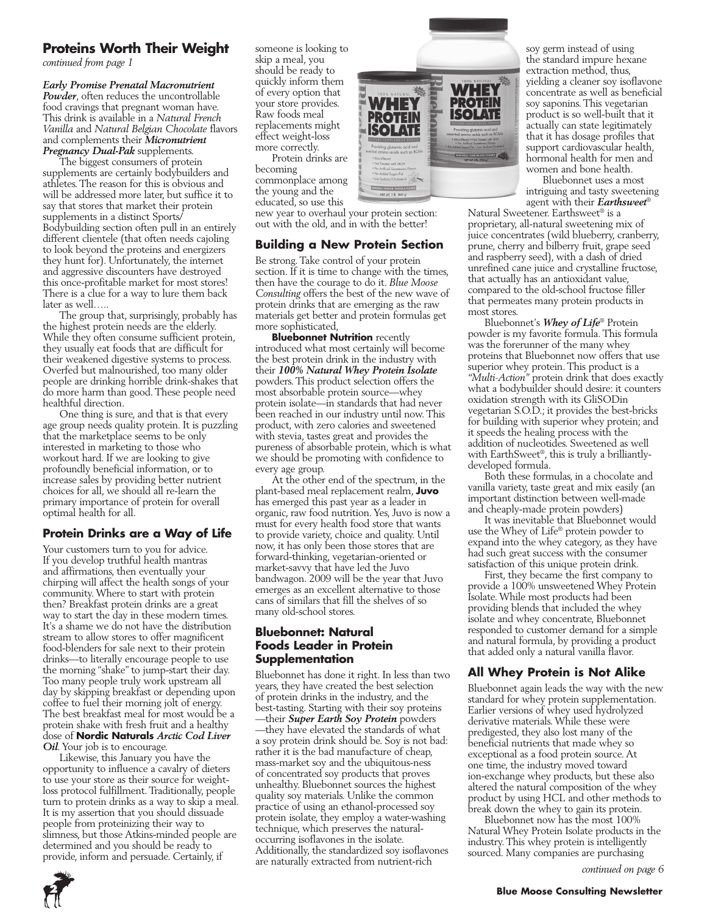### **Proteins Worth Their Weight**

*continued from page 1*

*Early Promise Prenatal Macronutrient Powder*, often reduces the uncontrollable food cravings that pregnant woman have. This drink is available in a *Natural French Vanilla* and *Natural Belgian Chocolate* flavors and complements their *Micronutrient Pregnancy Dual-Pak* supplements.

The biggest consumers of protein supplements are certainly bodybuilders and athletes. The reason for this is obvious and will be addressed more later, but suffice it to say that stores that market their protein supplements in a distinct Sports/ Bodybuilding section often pull in an entirely different clientele (that often needs cajoling to look beyond the proteins and energizers they hunt for). Unfortunately, the internet and aggressive discounters have destroyed this once-profitable market for most stores! There is a clue for a way to lure them back later as well…..

The group that, surprisingly, probably has the highest protein needs are the elderly. While they often consume sufficient protein, they usually eat foods that are difficult for their weakened digestive systems to process. Overfed but malnourished, too many older people are drinking horrible drink-shakes that do more harm than good. These people need healthful direction.

One thing is sure, and that is that every age group needs quality protein. It is puzzling that the marketplace seems to be only interested in marketing to those who workout hard. If we are looking to give profoundly beneficial information, or to increase sales by providing better nutrient choices for all, we should all re-learn the primary importance of protein for overall optimal health for all.

### **Protein Drinks are a Way of Life**

Your customers turn to you for advice. If you develop truthful health mantras and affirmations, then eventually your chirping will affect the health songs of your community. Where to start with protein then? Breakfast protein drinks are a great way to start the day in these modern times. It's a shame we do not have the distribution stream to allow stores to offer magnificent food-blenders for sale next to their protein drinks—to literally encourage people to use the morning "shake" to jump-start their day. Too many people truly work upstream all day by skipping breakfast or depending upon coffee to fuel their morning jolt of energy. The best breakfast meal for most would be a protein shake with fresh fruit and a healthy dose of **Nordic Naturals** *Arctic Cod Liver Oil.* Your job is to encourage.

Likewise, this January you have the opportunity to influence a cavalry of dieters to use your store as their source for weightloss protocol fulfillment. Traditionally, people turn to protein drinks as a way to skip a meal. It is my assertion that you should dissuade people from proteinizing their way to slimness, but those Atkins-minded people are determined and you should be ready to provide, inform and persuade. Certainly, if

someone is looking to skip a meal, you should be ready to quickly inform them of every option that your store provides. Raw foods meal replacements might effect weight-loss more correctly.

Protein drinks are becoming commonplace among the young and the educated, so use this

new year to overhaul your protein section: out with the old, and in with the better!

### **Building a New Protein Section**

Be strong. Take control of your protein section. If it is time to change with the times, then have the courage to do it. *Blue Moose Consulting* offers the best of the new wave of protein drinks that are emerging as the raw materials get better and protein formulas get more sophisticated,

**Bluebonnet Nutrition** recently introduced what most certainly will become the best protein drink in the industry with their *100% Natural Whey Protein Isolate* powders. This product selection offers the most absorbable protein source—whey protein isolate—in standards that had never been reached in our industry until now. This product, with zero calories and sweetened with stevia, tastes great and provides the pureness of absorbable protein, which is what we should be promoting with confidence to every age group.

At the other end of the spectrum, in the plant-based meal replacement realm, **Juvo** has emerged this past year as a leader in organic, raw food nutrition. Yes, Juvo is now a must for every health food store that wants to provide variety, choice and quality. Until now, it has only been those stores that are forward-thinking, vegetarian-oriented or market-savvy that have led the Juvo bandwagon. 2009 will be the year that Juvo emerges as an excellent alternative to those cans of similars that fill the shelves of so many old-school stores.

### **Bluebonnet: Natural Foods Leader in Protein Supplementation**

Bluebonnet has done it right. In less than two years, they have created the best selection of protein drinks in the industry, and the best-tasting. Starting with their soy proteins —their *Super Earth Soy Protein* powders —they have elevated the standards of what a soy protein drink should be. Soy is not bad: rather it is the bad manufacture of cheap, mass-market soy and the ubiquitous-ness of concentrated soy products that proves unhealthy. Bluebonnet sources the highest quality soy materials. Unlike the common practice of using an ethanol-processed soy protein isolate, they employ a water-washing technique, which preserves the naturaloccurring isoflavones in the isolate. Additionally, the standardized soy isoflavones are naturally extracted from nutrient-rich



soy germ instead of using the standard impure hexane extraction method, thus, yielding a cleaner soy isoflavone concentrate as well as beneficial soy saponins. This vegetarian product is so well-built that it actually can state legitimately that it has dosage profiles that support cardiovascular health, hormonal health for men and women and bone health.

Bluebonnet uses a most intriguing and tasty sweetening agent with their *Earthsweet*®

Natural Sweetener. Earthsweet® is a proprietary, all-natural sweetening mix of juice concentrates (wild blueberry, cranberry, prune, cherry and bilberry fruit, grape seed and raspberry seed), with a dash of dried unrefined cane juice and crystalline fructose, that actually has an antioxidant value, compared to the old-school fructose filler that permeates many protein products in most stores.

Bluebonnet's *Whey of Life*® Protein powder is my favorite formula. This formula was the forerunner of the many whey proteins that Bluebonnet now offers that use superior whey protein. This product is a *"Multi-Action"* protein drink that does exactly what a bodybuilder should desire: it counters oxidation strength with its GliSODin vegetarian S.O.D.; it provides the best-bricks for building with superior whey protein; and it speeds the healing process with the addition of nucleotides. Sweetened as well with EarthSweet®, this is truly a brilliantlydeveloped formula.

Both these formulas, in a chocolate and vanilla variety, taste great and mix easily (an important distinction between well-made and cheaply-made protein powders)

It was inevitable that Bluebonnet would use the Whey of Life® protein powder to expand into the whey category, as they have had such great success with the consumer satisfaction of this unique protein drink.

First, they became the first company to provide a 100% unsweetened Whey Protein Isolate. While most products had been providing blends that included the whey isolate and whey concentrate, Bluebonnet responded to customer demand for a simple and natural formula, by providing a product that added only a natural vanilla flavor.

### **All Whey Protein is Not Alike**

Bluebonnet again leads the way with the new standard for whey protein supplementation. Earlier versions of whey used hydrolyzed derivative materials. While these were predigested, they also lost many of the beneficial nutrients that made whey so exceptional as a food protein source. At one time, the industry moved toward ion-exchange whey products, but these also altered the natural composition of the whey product by using HCL and other methods to break down the whey to gain its protein.

Bluebonnet now has the most 100% Natural Whey Protein Isolate products in the industry. This whey protein is intelligently sourced. Many companies are purchasing

*continued on page 6*

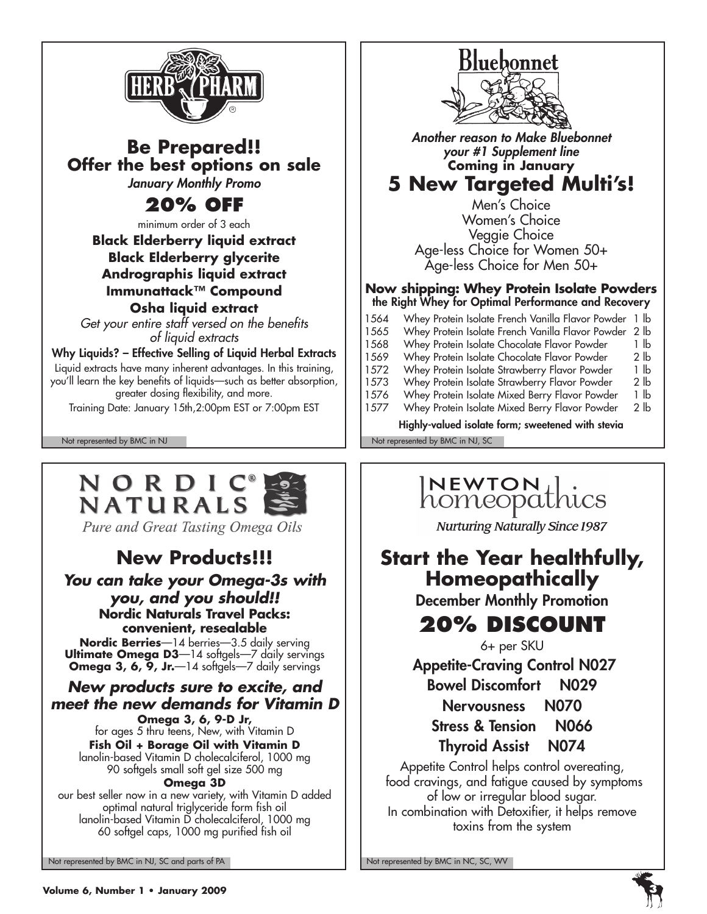

### **Be Prepared!! Offer the best options on sale** *January Monthly Promo*

## **20% off**

minimum order of 3 each

**Black Elderberry liquid extract Black Elderberry glycerite Andrographis liquid extract Immunattack™ Compound Osha liquid extract**

*Get your entire staff versed on the benefits of liquid extracts*

Why Liquids? – Effective Selling of Liquid Herbal Extracts Liquid extracts have many inherent advantages. In this training, you'll learn the key benefits of liquids—such as better absorption, greater dosing flexibility, and more.

Training Date: January 15th,2:00pm EST or 7:00pm EST

## NORDIC NATURALS

Pure and Great Tasting Omega Oils

## **New Products!!!**

### *You can take your Omega-3s with you, and you should!!* **Nordic Naturals Travel Packs: convenient, resealable**

**Nordic Berries**—14 berries—3.5 daily serving **Ultimate Omega D3**—14 softgels—7 daily servings Omega 3, 6, 9, Jr.-14 softgels-7 daily servings

### *New products sure to excite, and meet the new demands for Vitamin D*

**Omega 3, 6, 9-D Jr,** for ages 5 thru teens, New, with Vitamin D **Fish Oil + Borage Oil with Vitamin D** lanolin-based Vitamin D cholecalciferol, 1000 mg 90 softgels small soft gel size 500 mg

### **Omega 3D**

our best seller now in a new variety, with Vitamin D added optimal natural triglyceride form fish oil lanolin-based Vitamin D cholecalciferol, 1000 mg 60 softgel caps, 1000 mg purified fish oil

Not represented by BMC in NJ, SC and parts of PA Note that the Not represented by BMC in NC, SC, WV



*Another reason to Make Bluebonnet your #1 Supplement line* **Coming in January**

## **5 New Targeted Multi's!**

Men's Choice Women's Choice Veggie Choice Age-less Choice for Women 50+ Age-less Choice for Men 50+

#### **Now shipping: Whey Protein Isolate Powders** the Right Whey for Optimal Performance and Recovery

| 1564                                              |  |  |  | Whey Protein Isolate French Vanilla Flavor Powder | 1 lb            |
|---------------------------------------------------|--|--|--|---------------------------------------------------|-----------------|
| 1565                                              |  |  |  | Whey Protein Isolate French Vanilla Flavor Powder | 2 <sub>1b</sub> |
| 1568                                              |  |  |  | Whey Protein Isolate Chocolate Flavor Powder      | 1 lb            |
| 1569                                              |  |  |  | Whey Protein Isolate Chocolate Flavor Powder      | 2 lb            |
| 1572                                              |  |  |  | Whey Protein Isolate Strawberry Flavor Powder     | 1 lb            |
| 1573                                              |  |  |  | Whey Protein Isolate Strawberry Flavor Powder     | 2 lb            |
| 1576                                              |  |  |  | Whey Protein Isolate Mixed Berry Flavor Powder    | 1 lb            |
| 1577                                              |  |  |  | Whey Protein Isolate Mixed Berry Flavor Powder    | 2 lb            |
| Highly-valued isolate form; sweetened with stevia |  |  |  |                                                   |                 |
|                                                   |  |  |  |                                                   |                 |

Not represented by BMC in NJ Not represented by BMC in NJ, SC

# INEWTON | .<br>homeopathics

**Nurturing Naturally Since 1987** 

## **Start the Year healthfully, Homeopathically**

December Monthly Promotion

## **20% Discount**

6+ per SKU

Appetite-Craving Control N027

Bowel Discomfort N029

Nervousness N070

Stress & Tension N066 Thyroid Assist N074

Appetite Control helps control overeating, food cravings, and fatigue caused by symptoms of low or irregular blood sugar. In combination with Detoxifier, it helps remove toxins from the system

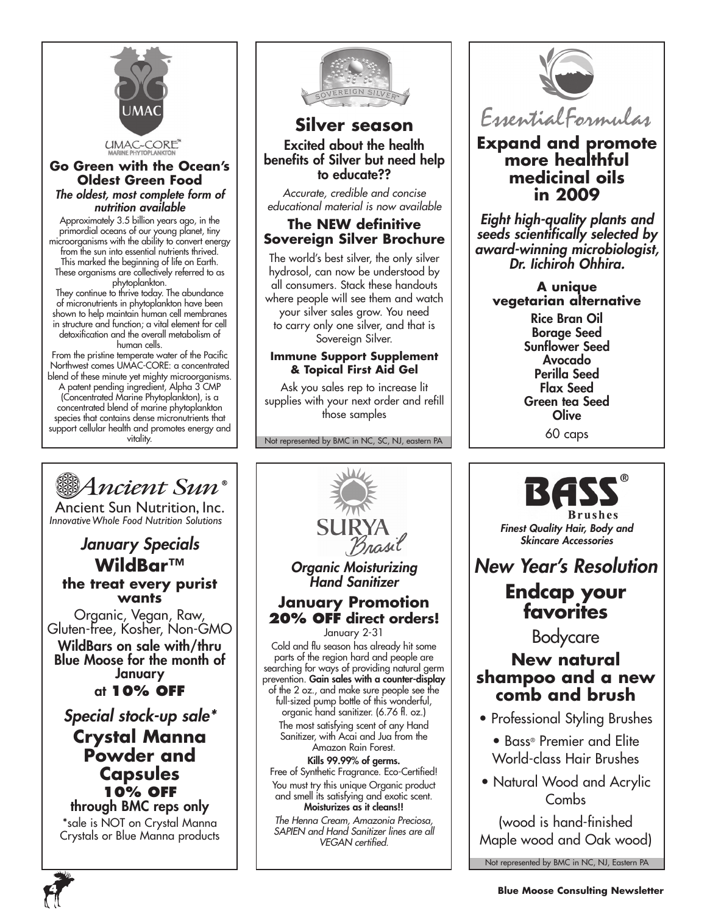

#### **Go Green with the Ocean's Oldest Green Food** *The oldest, most complete form of nutrition available*

Approximately 3.5 billion years ago, in the primordial oceans of our young planet, tiny microorganisms with the ability to convert energy from the sun into essential nutrients thrived. This marked the beginning of life on Earth. These organisms are collectively referred to as phytoplankton.

They continue to thrive today. The abundance of micronutrients in phytoplankton have been shown to help maintain human cell membranes in structure and function; a vital element for cell detoxification and the overall metabolism of human cells.

From the pristine temperate water of the Pacific Northwest comes UMAC-CORE: a concentrated blend of these minute yet mighty microorganisms. A patent pending ingredient, Alpha 3 CMP (Concentrated Marine Phytoplankton), is a concentrated blend of marine phytoplankton species that contains dense micronutrients that support cellular health and promotes energy and vitality.

Ancient Sun Nutrition, Inc. *InnovativeWhole Food Nutrition Solutions*

Ancient Sun®

*January Specials* **WildBar™ the treat every purist wants** Organic, Vegan, Raw, Gluten-free, Kosher, Non-GMO WildBars on sale with/thru Blue Moose for the month of January at **10% off**

*Special stock-up sale\** **Crystal Manna Powder and Capsules 10% off** through BMC reps only \*sale is NOT on Crystal Manna Crystals or Blue Manna products



### **Silver season** Excited about the health benefits of Silver but need help to educate??

*Accurate, credible and concise educational material is now available*

### **The NEW definitive Sovereign Silver Brochure**

The world's best silver, the only silver hydrosol, can now be understood by all consumers. Stack these handouts where people will see them and watch your silver sales grow. You need to carry only one silver, and that is Sovereign Silver.

### **Immune Support Supplement & Topical First Aid Gel**

Ask you sales rep to increase lit supplies with your next order and refill those samples

Not represented by BMC in NC, SC, NJ, eastern PA



### **Expand and promote more healthful medicinal oils in 2009**

*Eight high-quality plants and seeds scientifically selected by award-winning microbiologist, Dr. Iichiroh Ohhira.*

**A unique vegetarian alternative**

> Rice Bran Oil Borage Seed Sunflower Seed Avocado Perilla Seed Flax Seed Green tea Seed **Olive** 60 caps



(wood is hand-finished Maple wood and Oak wood)

Not represented by BMC in NC, NJ, Eastern PA





January 2-31

Cold and flu season has already hit some parts of the region hard and people are searching for ways of providing natural germ prevention. Gain sales with a counter-display of the 2 oz., and make sure people see the full-sized pump bottle of this wonderful, organic hand sanitizer. (6.76 fl. oz.) The most satisfying scent of any Hand Sanitizer, with Acai and Jua from the Amazon Rain Forest. Kills 99.99% of germs. Free of Synthetic Fragrance. Eco-Certified! You must try this unique Organic product and smell its satisfying and exotic scent. Moisturizes as it cleans!! *The Henna Cream, Amazonia Preciosa, SAPIEN and Hand Sanitizer lines are all VEGAN certified.*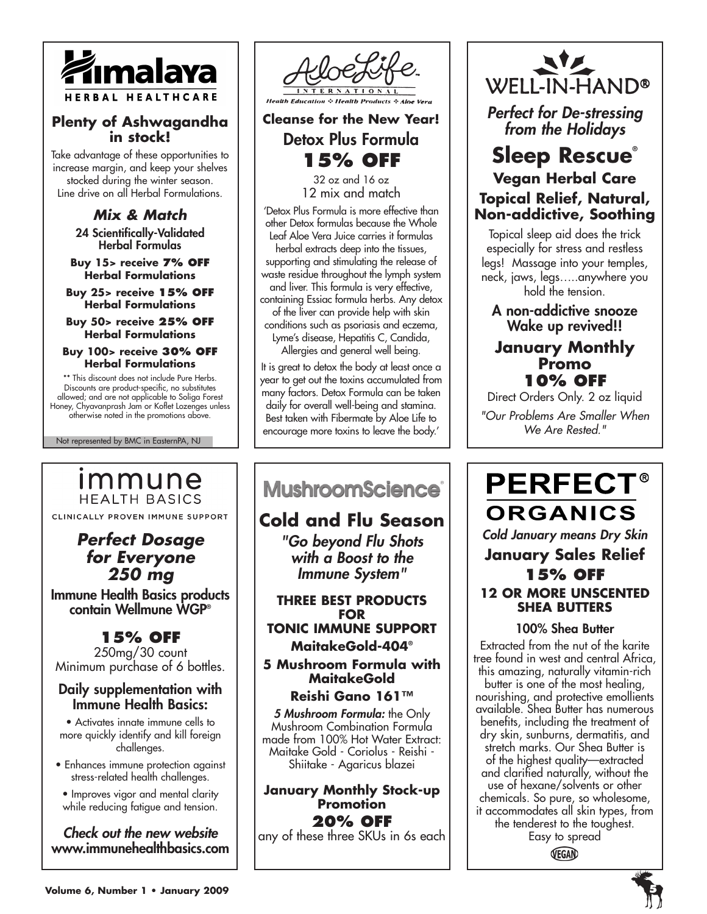

### **Plenty of Ashwagandha in stock!**

Take advantage of these opportunities to increase margin, and keep your shelves stocked during the winter season. Line drive on all Herbal Formulations.

> *Mix & Match* 24 Scientifically-Validated Herbal Formulas

**Buy 15> receive 7% off Herbal Formulations** 

**Buy 25> receive 15% off Herbal Formulations** 

**Buy 50> receive 25% off Herbal Formulations** 

**Buy 100> receive 30% off Herbal Formulations** 

\*\* This discount does not include Pure Herbs. Discounts are product-specific, no substitutes allowed; and are not applicable to Soliga Forest Honey, Chyavanprash Jam or Koflet Lozenges unless otherwise noted in the promotions above.

Not represented by BMC in EasternPA, NJ

### immune **HEALTH BASICS**

CLINICALLY PROVEN IMMUNE SUPPORT

### *Perfect Dosage for Everyone 250 mg*

Immune Health Basics products contain Wellmune WGP®

### **15% off**

250mg/30 count Minimum purchase of 6 bottles.

### Daily supplementation with Immune Health Basics:

• Activates innate immune cells to more quickly identify and kill foreign challenges.

- Enhances immune protection against stress-related health challenges.
- Improves vigor and mental clarity while reducing fatigue and tension.

*Check out the new website* www.immunehealthbasics.com



### **Cleanse for the New Year!** Detox Plus Formula **15% off**

32 oz and 16 oz 12 mix and match

'Detox Plus Formula is more effective than other Detox formulas because the Whole Leaf Aloe Vera Juice carries it formulas herbal extracts deep into the tissues, supporting and stimulating the release of waste residue throughout the lymph system and liver. This formula is very effective, containing Essiac formula herbs. Any detox of the liver can provide help with skin conditions such as psoriasis and eczema, Lyme's disease, Hepatitis C, Candida, Allergies and general well being.

It is great to detox the body at least once a year to get out the toxins accumulated from many factors. Detox Formula can be taken daily for overall well-being and stamina. Best taken with Fibermate by Aloe Life to encourage more toxins to leave the body.'

## **MushroomScience**®

٦

### **Cold and Flu Season**

*"Go beyond Flu Shots with a Boost to the Immune System"*

**Three best products for Tonic Immune Support MaitakeGold-404®**

**5 Mushroom Formula with MaitakeGold** 

### **Reishi Gano 161™**

*5 Mushroom Formula:* the Only Mushroom Combination Formula made from 100% Hot Water Extract: Maitake Gold - Coriolus - Reishi - Shiitake - Agaricus blazei

**January Monthly Stock-up Promotion 20% off**  any of these three SKUs in 6s each



*Perfect for De-stressing from the Holidays*

### **Sleep Rescue® Vegan Herbal Care Topical Relief, Natural, Non-addictive, Soothing**

Topical sleep aid does the trick especially for stress and restless legs! Massage into your temples, neck, jaws, legs…..anywhere you hold the tension.

A non-addictive snooze Wake up revived!!

### **January Monthly Promo 10% off**

Direct Orders Only. 2 oz liquid *"Our Problems Are Smaller When We Are Rested."*

## **PERFECT® ORGANICS** *Cold January means Dry Skin* **January Sales Relief 15% OFF**

### **12 OR MORE UNSCENTED SHEA BUTTERS**

### 100% Shea Butter

Extracted from the nut of the karite tree found in west and central Africa, this amazing, naturally vitamin-rich butter is one of the most healing, nourishing, and protective emollients available. Shea Butter has numerous benefits, including the treatment of dry skin, sunburns, dermatitis, and stretch marks. Our Shea Butter is of the highest quality—extracted and clarified naturally, without the use of hexane/solvents or other chemicals. So pure, so wholesome, it accommodates all skin types, from the tenderest to the toughest. Easy to spread

VEGAN

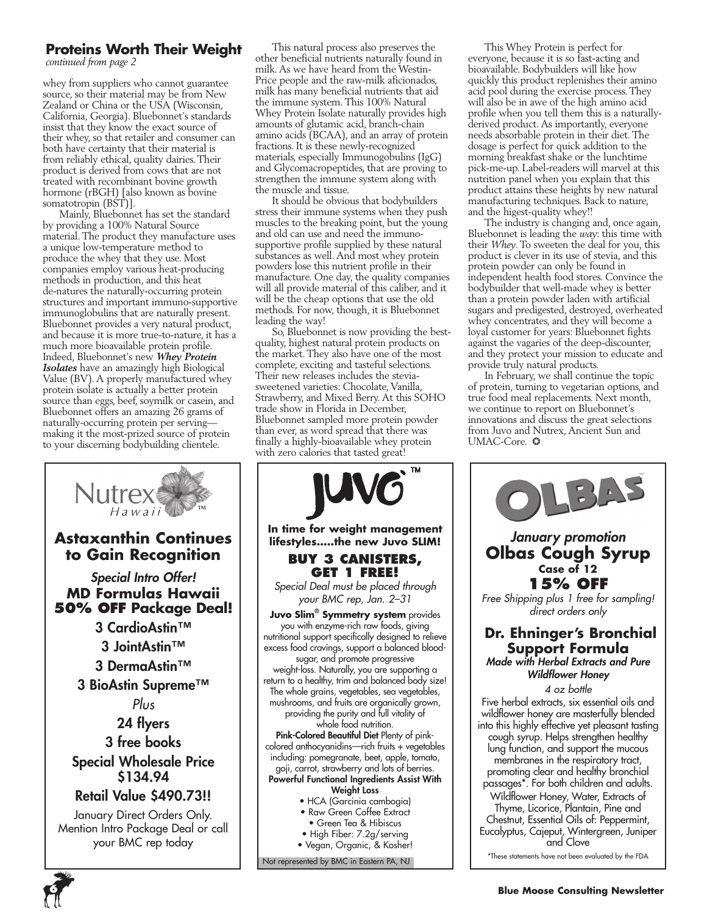### **Proteins Worth Their Weight**

*continued from page 2*

whey from suppliers who cannot guarantee source, so their material may be from New Zealand or China or the USA (Wisconsin, California, Georgia). Bluebonnet's standards insist that they know the exact source of their whey, so that retailer and consumer can both have certainty that their material is from reliably ethical, quality dairies. Their product is derived from cows that are not treated with recombinant bovine growth hormone (rBGH) [also known as bovine somatotropin (BST)].

Mainly, Bluebonnet has set the standard by providing a 100% Natural Source material. The product they manufacture uses a unique low-temperature method to produce the whey that they use. Most companies employ various heat-producing methods in production, and this heat de-natures the naturally-occurring protein structures and important immuno-supportive immunoglobulins that are naturally present. Bluebonnet provides a very natural product, and because it is more true-to-nature, it has a much more bioavailable protein profile. Indeed, Bluebonnet's new *Whey Protein Isolates* have an amazingly high Biological Value (BV). A properly manufactured whey protein isolate is actually a better protein source than eggs, beef, soymilk or casein, and Bluebonnet offers an amazing 26 grams of naturally-occurring protein per serving making it the most-prized source of protein to your discerning bodybuilding clientele.



This natural process also preserves the other beneficial nutrients naturally found in milk. As we have heard from the Westin-Price people and the raw-milk aficionados, milk has many beneficial nutrients that aid the immune system. This 100% Natural Whey Protein Isolate naturally provides high amounts of glutamic acid, branch-chain amino acids (BCAA), and an array of protein fractions. It is these newly-recognized materials, especially Immunogobulins (IgG) and Glycomacropeptides, that are proving to strengthen the immune system along with the muscle and tissue.

It should be obvious that bodybuilders stress their immune systems when they push muscles to the breaking point, but the young and old can use and need the immunosupportive profile supplied by these natural substances as well. And most whey protein powders lose this nutrient profile in their manufacture. One day, the quality companies will all provide material of this caliber, and it will be the cheap options that use the old methods. For now, though, it is Bluebonnet leading the way!

So, Bluebonnet is now providing the bestquality, highest natural protein products on the market. They also have one of the most complete, exciting and tasteful selections. Their new releases includes the steviasweetened varieties: Chocolate, Vanilla, Strawberry, and Mixed Berry. At this SOHO trade show in Florida in December, Bluebonnet sampled more protein powder than ever, as word spread that there was finally a highly-bioavailable whey protein with zero calories that tasted great!



- High Fiber: 7.2g/serving
- Vegan, Organic, & Kosher!

Not represented by BMC in Eastern PA, NJ

This Whey Protein is perfect for everyone, because it is so fast-acting and bioavailable. Bodybuilders will like how quickly this product replenishes their amino acid pool during the exercise process. They will also be in awe of the high amino acid profile when you tell them this is a naturallyderived product. As importantly, everyone needs absorbable protein in their diet. The dosage is perfect for quick addition to the morning breakfast shake or the lunchtime pick-me-up. Label-readers will marvel at this nutrition panel when you explain that this product attains these heights by new natural manufacturing techniques. Back to nature, and the higest-quality whey!!

The industry is changing and, once again, Bluebonnet is leading the *way*: this time with their *Whey*. To sweeten the deal for you, this product is clever in its use of stevia, and this protein powder can only be found in independent health food stores. Convince the bodybuilder that well-made whey is better than a protein powder laden with artificial sugars and predigested, destroyed, overheated whey concentrates, and they will become a loyal customer for years: Bluebonnet fights against the vagaries of the deep-discounter, and they protect your mission to educate and provide truly natural products.

In February, we shall continue the topic of protein, turning to vegetarian options, and true food meal replacements. Next month, we continue to report on Bluebonnet's innovations and discuss the great selections from Juvo and Nutrex, Ancient Sun and UMAC-Core.  $\odot$ 

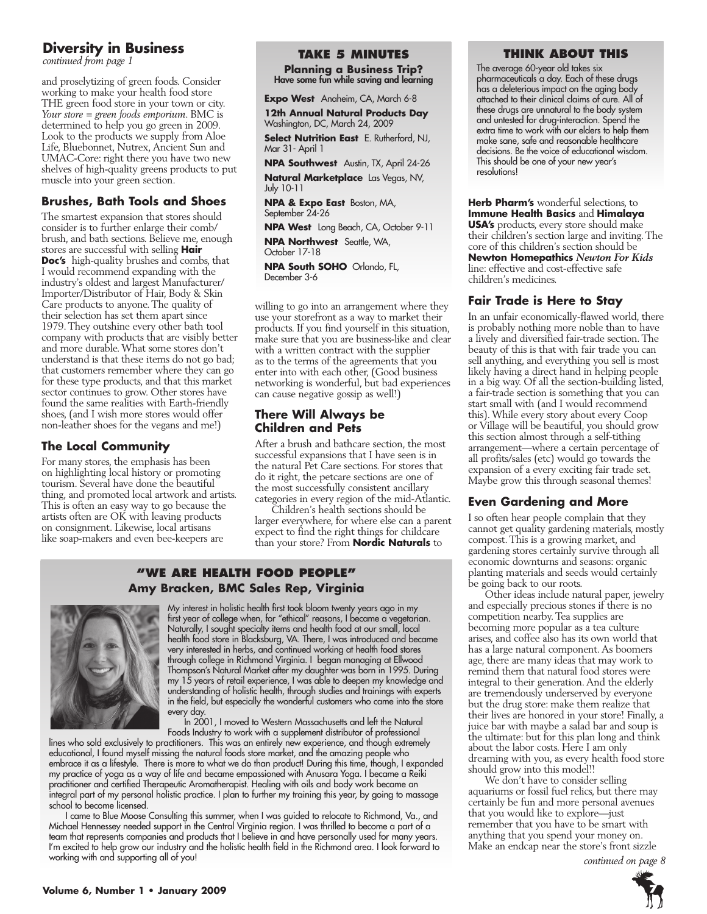### **Diversity in Business**

*continued from page 1*

and proselytizing of green foods. Consider working to make your health food store THE green food store in your town or city. *Your store = green foods emporium*. BMC is determined to help you go green in 2009. Look to the products we supply from Aloe Life, Bluebonnet, Nutrex, Ancient Sun and UMAC-Core: right there you have two new shelves of high-quality greens products to put muscle into your green section.

### **Brushes, Bath Tools and Shoes**

The smartest expansion that stores should consider is to further enlarge their comb/ brush, and bath sections. Believe me, enough stores are successful with selling **Hair Doc's** high-quality brushes and combs, that I would recommend expanding with the industry's oldest and largest Manufacturer/ Importer/Distributor of Hair, Body & Skin Care products to anyone. The quality of their selection has set them apart since 1979. They outshine every other bath tool company with products that are visibly better and more durable. What some stores don't understand is that these items do not go bad; that customers remember where they can go for these type products, and that this market sector continues to grow. Other stores have found the same realities with Earth-friendly shoes, (and I wish more stores would offer non-leather shoes for the vegans and me!)

### **The Local Community**

For many stores, the emphasis has been on highlighting local history or promoting tourism. Several have done the beautiful thing, and promoted local artwork and artists. This is often an easy way to go because the artists often are OK with leaving products on consignment. Likewise, local artisans like soap-makers and even bee-keepers are

### **Take 5 Minutes**

**Planning a Business Trip?** Have some fun while saving and learning

**Expo West** Anaheim, CA, March 6-8

**12th Annual Natural Products Day** Washington, DC, March 24, 2009

**Select Nutrition East** E. Rutherford, NJ, Mar 31- April 1

**NPA Southwest** Austin, TX, April 24-26

**Natural Marketplace** Las Vegas, NV, July 10-11

**NPA & Expo East** Boston, MA, September 24-26

**NPA West** Long Beach, CA, October 9-11 **NPA Northwest** Seattle, WA,

October 17-18

**NPA South SOHO** Orlando, FL, December 3-6

willing to go into an arrangement where they use your storefront as a way to market their products. If you find yourself in this situation, make sure that you are business-like and clear with a written contract with the supplier as to the terms of the agreements that you enter into with each other, (Good business networking is wonderful, but bad experiences can cause negative gossip as well!)

### **There Will Always be Children and Pets**

After a brush and bathcare section, the most successful expansions that I have seen is in the natural Pet Care sections. For stores that do it right, the petcare sections are one of the most successfully consistent ancillary categories in every region of the mid-Atlantic.

Children's health sections should be larger everywhere, for where else can a parent expect to find the right things for childcare than your store? From **Nordic Naturals** to

### **"We Are health food people" Amy Bracken, BMC Sales Rep, Virginia**



My interest in holistic health first took bloom twenty years ago in my first year of college when, for "ethical" reasons, I became a vegetarian. Naturally, I sought specialty items and health food at our small, local health food store in Blacksburg, VA. There, I was introduced and became very interested in herbs, and continued working at health food stores through college in Richmond Virginia. I began managing at Ellwood Thompson's Natural Market after my daughter was born in 1995. During my 15 years of retail experience, I was able to deepen my knowledge and understanding of holistic health, through studies and trainings with experts in the field, but especially the wonderful customers who came into the store every day.

In 2001, I moved to Western Massachusetts and left the Natural Foods Industry to work with a supplement distributor of professional

lines who sold exclusively to practitioners. This was an entirely new experience, and though extremely educational, I found myself missing the natural foods store market, and the amazing people who embrace it as a lifestyle. There is more to what we do than product! During this time, though, I expanded my practice of yoga as a way of life and became empassioned with Anusara Yoga. I became a Reiki practitioner and certified Therapeutic Aromatherapist. Healing with oils and body work became an integral part of my personal holistic practice. I plan to further my training this year, by going to massage school to become licensed.

I came to Blue Moose Consulting this summer, when I was guided to relocate to Richmond, Va., and Michael Hennessey needed support in the Central Virginia region. I was thrilled to become a part of a team that represents companies and products that I believe in and have personally used for many years. I'm excited to help grow our industry and the holistic health field in the Richmond area. I look forward to working with and supporting all of you! *continued on page 8*

### **Think about this**

The average 60-year old takes six pharmaceuticals a day. Each of these drugs has a deleterious impact on the aging body attached to their clinical claims of cure. All of these drugs are unnatural to the body system and untested for drug-interaction. Spend the extra time to work with our elders to help them make sane, safe and reasonable healthcare decisions. Be the voice of educational wisdom. This should be one of your new year's resolutions!

**Herb Pharm's** wonderful selections, to **Immune Health Basics** and **Himalaya USA's** products, every store should make their children's section large and inviting. The core of this children's section should be **Newton Homepathics** *Newton For Kids*  line: effective and cost-effective safe children's medicines.

### **Fair Trade is Here to Stay**

In an unfair economically-flawed world, there is probably nothing more noble than to have a lively and diversified fair-trade section. The beauty of this is that with fair trade you can sell anything, and everything you sell is most likely having a direct hand in helping people in a big way. Of all the section-building listed, a fair-trade section is something that you can start small with (and I would recommend this). While every story about every Coop or Village will be beautiful, you should grow this section almost through a self-tithing arrangement—where a certain percentage of all profits/sales (etc) would go towards the expansion of a every exciting fair trade set. Maybe grow this through seasonal themes!

### **Even Gardening and More**

I so often hear people complain that they cannot get quality gardening materials, mostly compost. This is a growing market, and gardening stores certainly survive through all economic downturns and seasons: organic planting materials and seeds would certainly be going back to our roots.

Other ideas include natural paper, jewelry and especially precious stones if there is no competition nearby. Tea supplies are becoming more popular as a tea culture arises, and coffee also has its own world that has a large natural component. As boomers age, there are many ideas that may work to remind them that natural food stores were integral to their generation. And the elderly are tremendously underserved by everyone but the drug store: make them realize that their lives are honored in your store! Finally, a juice bar with maybe a salad bar and soup is the ultimate: but for this plan long and think about the labor costs. Here I am only dreaming with you, as every health food store should grow into this model!!

We don't have to consider selling aquariums or fossil fuel relics, but there may certainly be fun and more personal avenues that you would like to explore—just remember that you have to be smart with anything that you spend your money on. Make an endcap near the store's front sizzle